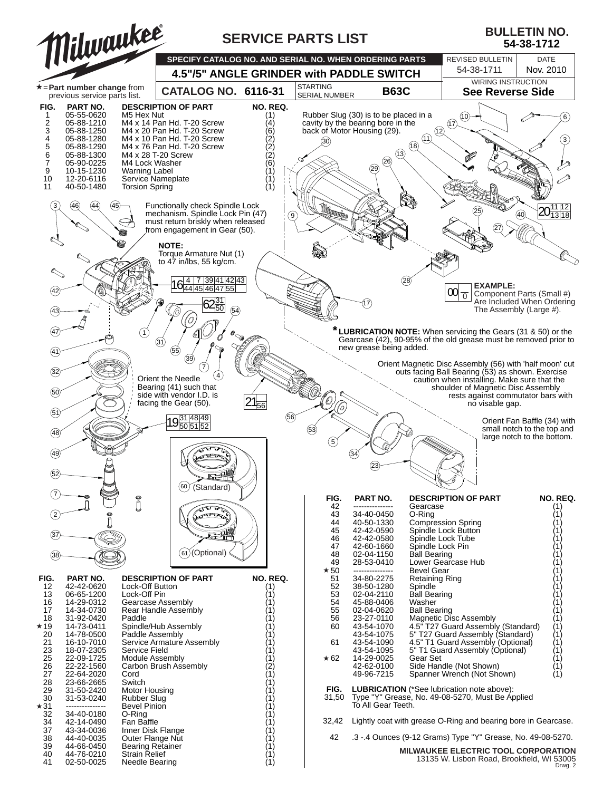